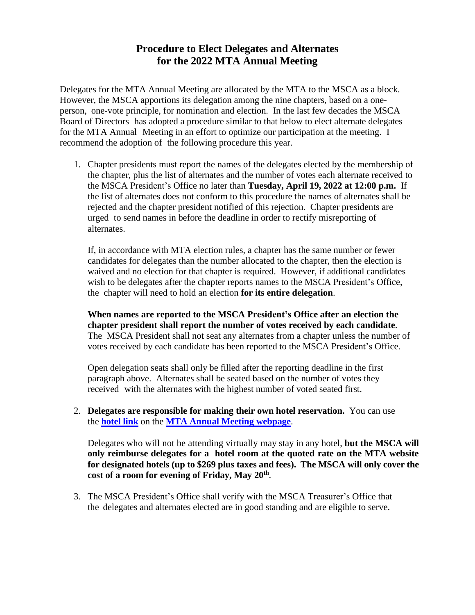## **Procedure to Elect Delegates and Alternates for the 2022 MTA Annual Meeting**

Delegates for the MTA Annual Meeting are allocated by the MTA to the MSCA as a block. However, the MSCA apportions its delegation among the nine chapters, based on a oneperson, one-vote principle, for nomination and election. In the last few decades the MSCA Board of Directors has adopted a procedure similar to that below to elect alternate delegates for the MTA Annual Meeting in an effort to optimize our participation at the meeting. I recommend the adoption of the following procedure this year.

1. Chapter presidents must report the names of the delegates elected by the membership of the chapter, plus the list of alternates and the number of votes each alternate received to the MSCA President's Office no later than **Tuesday, April 19, 2022 at 12:00 p.m.** If the list of alternates does not conform to this procedure the names of alternates shall be rejected and the chapter president notified of this rejection. Chapter presidents are urged to send names in before the deadline in order to rectify misreporting of alternates.

If, in accordance with MTA election rules, a chapter has the same number or fewer candidates for delegates than the number allocated to the chapter, then the election is waived and no election for that chapter is required. However, if additional candidates wish to be delegates after the chapter reports names to the MSCA President's Office, the chapter will need to hold an election **for its entire delegation**.

**When names are reported to the MSCA President's Office after an election the chapter president shall report the number of votes received by each candidate**. The MSCA President shall not seat any alternates from a chapter unless the number of votes received by each candidate has been reported to the MSCA President's Office.

Open delegation seats shall only be filled after the reporting deadline in the first paragraph above. Alternates shall be seated based on the number of votes they received with the alternates with the highest number of voted seated first.

2. **Delegates are responsible for making their own hotel reservation.** You can use the **[hotel link](https://massteacher.org/events-and-conferences/annual-meeting-of-delegates/hotel-information)** on the **MTA [Annual Meeting webpage](https://massteacher.org/events-and-conferences/annual-meeting-of-delegates/hotel-information)**.

Delegates who will not be attending virtually may stay in any hotel, **but the MSCA will only reimburse delegates for a hotel room at the quoted rate on the MTA website for designated hotels (up to \$269 plus taxes and fees). The MSCA will only cover the cost of a room for evening of Friday, May 20th** .

3. The MSCA President's Office shall verify with the MSCA Treasurer's Office that the delegates and alternates elected are in good standing and are eligible to serve.